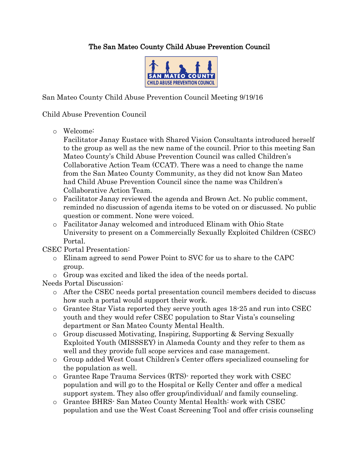## The San Mateo County Child Abuse Prevention Council



San Mateo County Child Abuse Prevention Council Meeting 9/19/16

## Child Abuse Prevention Council

o Welcome:

Facilitator Janay Eustace with Shared Vision Consultants introduced herself to the group as well as the new name of the council. Prior to this meeting San Mateo County's Child Abuse Prevention Council was called Children's Collaborative Action Team (CCAT). There was a need to change the name from the San Mateo County Community, as they did not know San Mateo had Child Abuse Prevention Council since the name was Children's Collaborative Action Team.

- o Facilitator Janay reviewed the agenda and Brown Act. No public comment, reminded no discussion of agenda items to be voted on or discussed. No public question or comment. None were voiced.
- o Facilitator Janay welcomed and introduced Elinam with Ohio State University to present on a Commercially Sexually Exploited Children (CSEC) Portal.

CSEC Portal Presentation:

- o Elinam agreed to send Power Point to SVC for us to share to the CAPC group.
- o Group was excited and liked the idea of the needs portal.

Needs Portal Discussion:

- o After the CSEC needs portal presentation council members decided to discuss how such a portal would support their work.
- o Grantee Star Vista reported they serve youth ages 18-25 and run into CSEC youth and they would refer CSEC population to Star Vista's counseling department or San Mateo County Mental Health.
- o Group discussed Motivating, Inspiring, Supporting & Serving Sexually Exploited Youth (MISSSEY) in Alameda County and they refer to them as well and they provide full scope services and case management.
- o Group added West Coast Children's Center offers specialized counseling for the population as well.
- o Grantee Rape Trauma Services (RTS)- reported they work with CSEC population and will go to the Hospital or Kelly Center and offer a medical support system. They also offer group/individual/ and family counseling.
- o Grantee BHRS- San Mateo County Mental Health: work with CSEC population and use the West Coast Screening Tool and offer crisis counseling